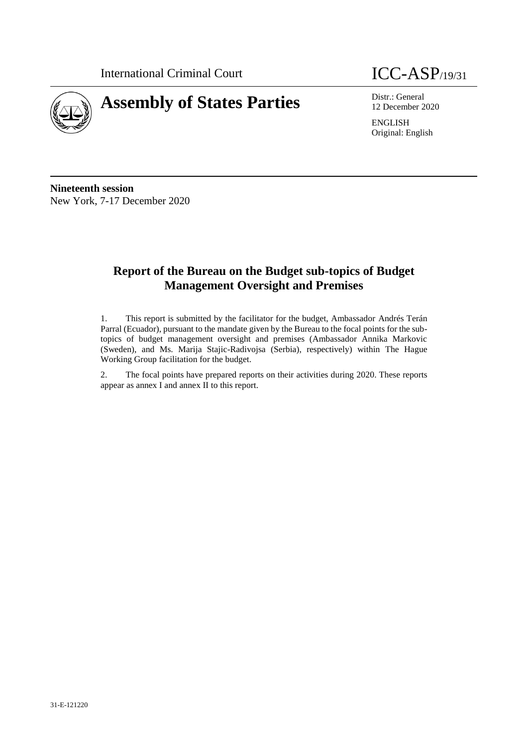

12 December 2020

ENGLISH Original: English

**Nineteenth session** New York, 7-17 December 2020

# **Report of the Bureau on the Budget sub-topics of Budget Management Oversight and Premises**

1. This report is submitted by the facilitator for the budget, Ambassador Andrés Terán Parral (Ecuador), pursuant to the mandate given by the Bureau to the focal points for the subtopics of budget management oversight and premises (Ambassador Annika Markovic (Sweden), and Ms. Marija Stajic-Radivojsa (Serbia), respectively) within The Hague Working Group facilitation for the budget.

2. The focal points have prepared reports on their activities during 2020. These reports appear as annex I and annex II to this report.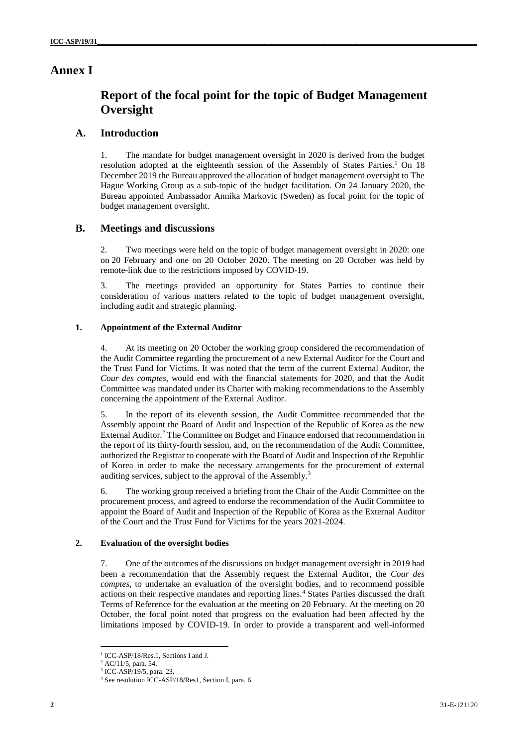## **Annex I**

# **Report of the focal point for the topic of Budget Management Oversight**

## **A. Introduction**

1. The mandate for budget management oversight in 2020 is derived from the budget resolution adopted at the eighteenth session of the Assembly of States Parties.<sup>1</sup> On 18 December 2019 the Bureau approved the allocation of budget management oversight to The Hague Working Group as a sub-topic of the budget facilitation. On 24 January 2020, the Bureau appointed Ambassador Annika Markovic (Sweden) as focal point for the topic of budget management oversight.

## **B. Meetings and discussions**

2. Two meetings were held on the topic of budget management oversight in 2020: one on 20 February and one on 20 October 2020. The meeting on 20 October was held by remote-link due to the restrictions imposed by COVID-19.

3. The meetings provided an opportunity for States Parties to continue their consideration of various matters related to the topic of budget management oversight, including audit and strategic planning.

## **1. Appointment of the External Auditor**

4. At its meeting on 20 October the working group considered the recommendation of the Audit Committee regarding the procurement of a new External Auditor for the Court and the Trust Fund for Victims. It was noted that the term of the current External Auditor, the *Cour des comptes*, would end with the financial statements for 2020, and that the Audit Committee was mandated under its Charter with making recommendations to the Assembly concerning the appointment of the External Auditor.

5. In the report of its eleventh session, the Audit Committee recommended that the Assembly appoint the Board of Audit and Inspection of the Republic of Korea as the new External Auditor.<sup>2</sup> The Committee on Budget and Finance endorsed that recommendation in the report of its thirty-fourth session, and, on the recommendation of the Audit Committee, authorized the Registrar to cooperate with the Board of Audit and Inspection of the Republic of Korea in order to make the necessary arrangements for the procurement of external auditing services, subject to the approval of the Assembly.<sup>3</sup>

6. The working group received a briefing from the Chair of the Audit Committee on the procurement process, and agreed to endorse the recommendation of the Audit Committee to appoint the Board of Audit and Inspection of the Republic of Korea as the External Auditor of the Court and the Trust Fund for Victims for the years 2021-2024.

## **2. Evaluation of the oversight bodies**

7. One of the outcomes of the discussions on budget management oversight in 2019 had been a recommendation that the Assembly request the External Auditor, the *Cour des comptes*, to undertake an evaluation of the oversight bodies, and to recommend possible actions on their respective mandates and reporting lines.<sup>4</sup> States Parties discussed the draft Terms of Reference for the evaluation at the meeting on 20 February. At the meeting on 20 October, the focal point noted that progress on the evaluation had been affected by the limitations imposed by COVID-19. In order to provide a transparent and well-informed

<sup>1</sup> ICC-ASP/18/Res.1, Sections I and J.

<sup>2</sup> AC/11/5, para. 54.

<sup>3</sup> ICC-ASP/19/5, para. 23.

<sup>4</sup> See resolution ICC-ASP/18/Res1, Section I, para. 6.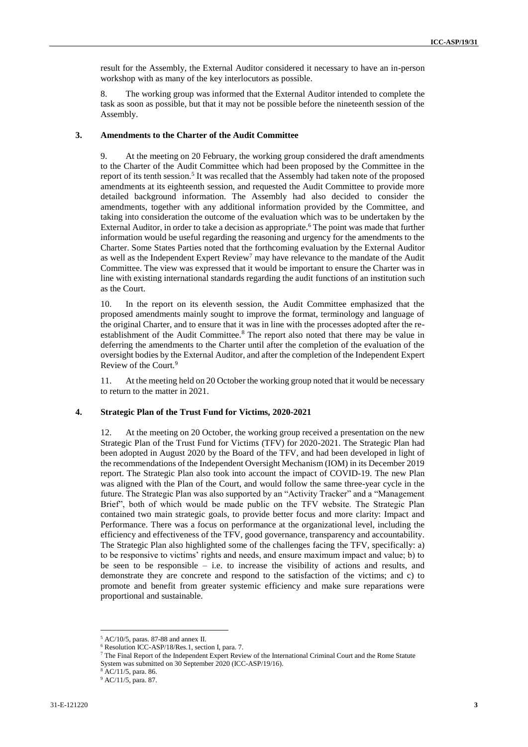result for the Assembly, the External Auditor considered it necessary to have an in-person workshop with as many of the key interlocutors as possible.

8. The working group was informed that the External Auditor intended to complete the task as soon as possible, but that it may not be possible before the nineteenth session of the Assembly.

#### **3. Amendments to the Charter of the Audit Committee**

9. At the meeting on 20 February, the working group considered the draft amendments to the Charter of the Audit Committee which had been proposed by the Committee in the report of its tenth session.<sup>5</sup> It was recalled that the Assembly had taken note of the proposed amendments at its eighteenth session, and requested the Audit Committee to provide more detailed background information. The Assembly had also decided to consider the amendments, together with any additional information provided by the Committee, and taking into consideration the outcome of the evaluation which was to be undertaken by the External Auditor, in order to take a decision as appropriate.<sup>6</sup> The point was made that further information would be useful regarding the reasoning and urgency for the amendments to the Charter. Some States Parties noted that the forthcoming evaluation by the External Auditor as well as the Independent Expert Review<sup>7</sup> may have relevance to the mandate of the Audit Committee. The view was expressed that it would be important to ensure the Charter was in line with existing international standards regarding the audit functions of an institution such as the Court.

10. In the report on its eleventh session, the Audit Committee emphasized that the proposed amendments mainly sought to improve the format, terminology and language of the original Charter, and to ensure that it was in line with the processes adopted after the reestablishment of the Audit Committee.<sup>8</sup> The report also noted that there may be value in deferring the amendments to the Charter until after the completion of the evaluation of the oversight bodies by the External Auditor, and after the completion of the Independent Expert Review of the Court.<sup>9</sup>

11. At the meeting held on 20 October the working group noted that it would be necessary to return to the matter in 2021.

## **4. Strategic Plan of the Trust Fund for Victims, 2020-2021**

At the meeting on 20 October, the working group received a presentation on the new Strategic Plan of the Trust Fund for Victims (TFV) for 2020-2021. The Strategic Plan had been adopted in August 2020 by the Board of the TFV, and had been developed in light of the recommendations of the Independent Oversight Mechanism (IOM) in its December 2019 report. The Strategic Plan also took into account the impact of COVID-19. The new Plan was aligned with the Plan of the Court, and would follow the same three-year cycle in the future. The Strategic Plan was also supported by an "Activity Tracker" and a "Management Brief", both of which would be made public on the TFV website. The Strategic Plan contained two main strategic goals, to provide better focus and more clarity: Impact and Performance. There was a focus on performance at the organizational level, including the efficiency and effectiveness of the TFV, good governance, transparency and accountability. The Strategic Plan also highlighted some of the challenges facing the TFV, specifically: a) to be responsive to victims' rights and needs, and ensure maximum impact and value; b) to be seen to be responsible  $-$  i.e. to increase the visibility of actions and results, and demonstrate they are concrete and respond to the satisfaction of the victims; and c) to promote and benefit from greater systemic efficiency and make sure reparations were proportional and sustainable.

<sup>5</sup> AC/10/5, paras. 87-88 and annex II.

<sup>6</sup> Resolution ICC-ASP/18/Res.1, section I, para. 7.

<sup>7</sup> The Final Report of the Independent Expert Review of the International Criminal Court and the Rome Statute System was submitted on 30 September 2020 (ICC-ASP/19/16).

<sup>8</sup> AC/11/5, para. 86. <sup>9</sup> AC/11/5, para. 87.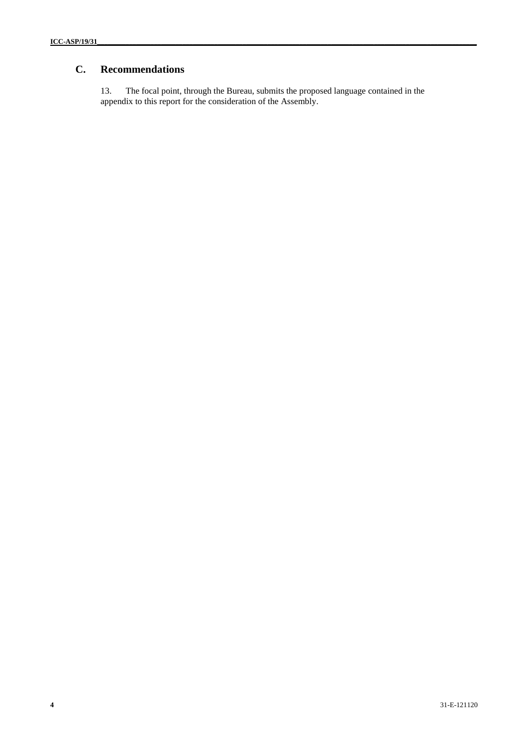## **C. Recommendations**

13. The focal point, through the Bureau, submits the proposed language contained in the appendix to this report for the consideration of the Assembly.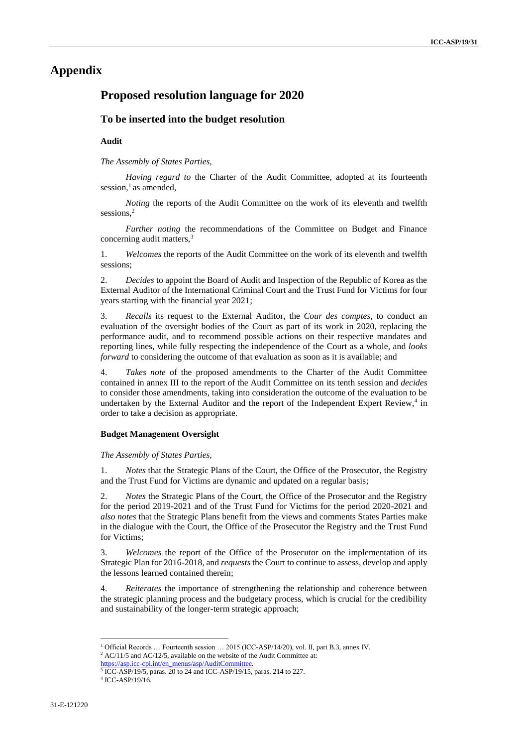## **Appendix**

## **Proposed resolution language for 2020**

## **To be inserted into the budget resolution**

#### **Audit**

#### *The Assembly of States Parties,*

*Having regard to* the Charter of the Audit Committee, adopted at its fourteenth session,<sup>1</sup> as amended,

*Noting* the reports of the Audit Committee on the work of its eleventh and twelfth sessions,<sup>2</sup>

*Further noting* the recommendations of the Committee on Budget and Finance concerning audit matters,<sup>3</sup>

1. *Welcomes* the reports of the Audit Committee on the work of its eleventh and twelfth sessions;

2. *Decides* to appoint the Board of Audit and Inspection of the Republic of Korea as the External Auditor of the International Criminal Court and the Trust Fund for Victims for four years starting with the financial year 2021;

3. *Recalls* its request to the External Auditor, the *Cour des comptes*, to conduct an evaluation of the oversight bodies of the Court as part of its work in 2020, replacing the performance audit, and to recommend possible actions on their respective mandates and reporting lines, while fully respecting the independence of the Court as a whole, and *looks forward* to considering the outcome of that evaluation as soon as it is available; and

4. *Takes note* of the proposed amendments to the Charter of the Audit Committee contained in annex III to the report of the Audit Committee on its tenth session and *decides* to consider those amendments, taking into consideration the outcome of the evaluation to be undertaken by the External Auditor and the report of the Independent Expert Review,<sup>4</sup> in order to take a decision as appropriate.

#### **Budget Management Oversight**

#### *The Assembly of States Parties,*

1. *Notes* that the Strategic Plans of the Court, the Office of the Prosecutor, the Registry and the Trust Fund for Victims are dynamic and updated on a regular basis;

2. *Notes* the Strategic Plans of the Court, the Office of the Prosecutor and the Registry for the period 2019-2021 and of the Trust Fund for Victims for the period 2020-2021 and *also notes* that the Strategic Plans benefit from the views and comments States Parties make in the dialogue with the Court, the Office of the Prosecutor the Registry and the Trust Fund for Victims;

3. *Welcomes* the report of the Office of the Prosecutor on the implementation of its Strategic Plan for 2016-2018, and *requests* the Court to continue to assess, develop and apply the lessons learned contained therein;

4. *Reiterates* the importance of strengthening the relationship and coherence between the strategic planning process and the budgetary process, which is crucial for the credibility and sustainability of the longer-term strategic approach;

<sup>&</sup>lt;sup>1</sup> Official Records ... Fourteenth session ... 2015 (ICC-ASP/14/20), vol. II, part B.3, annex IV.

 $2$  AC/11/5 and AC/12/5, available on the website of the Audit Committee at:

[https://asp.icc-cpi.int/en\\_menus/asp/AuditCommittee.](https://asp.icc-cpi.int/en_menus/asp/AuditCommittee)

<sup>3</sup> ICC-ASP/19/5, paras. 20 to 24 and ICC-ASP/19/15, paras. 214 to 227.

<sup>4</sup> ICC-ASP/19/16.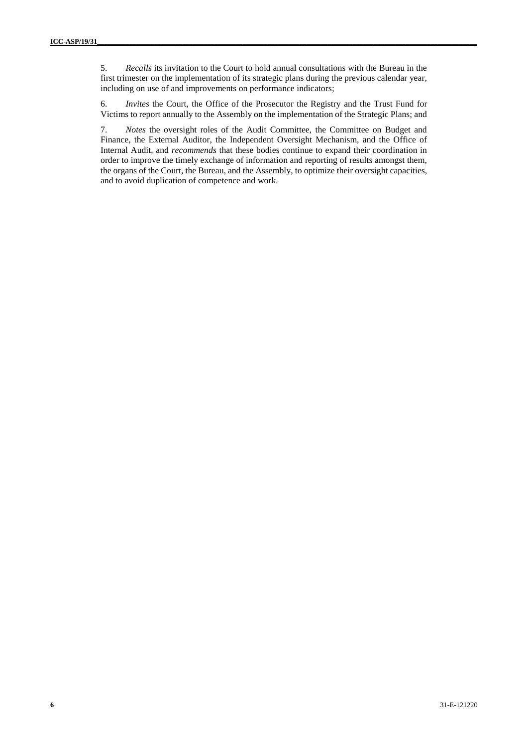5. *Recalls* its invitation to the Court to hold annual consultations with the Bureau in the first trimester on the implementation of its strategic plans during the previous calendar year, including on use of and improvements on performance indicators;

6. *Invites* the Court, the Office of the Prosecutor the Registry and the Trust Fund for Victims to report annually to the Assembly on the implementation of the Strategic Plans; and

7. *Notes* the oversight roles of the Audit Committee, the Committee on Budget and Finance, the External Auditor, the Independent Oversight Mechanism, and the Office of Internal Audit, and *recommends* that these bodies continue to expand their coordination in order to improve the timely exchange of information and reporting of results amongst them, the organs of the Court, the Bureau, and the Assembly, to optimize their oversight capacities, and to avoid duplication of competence and work.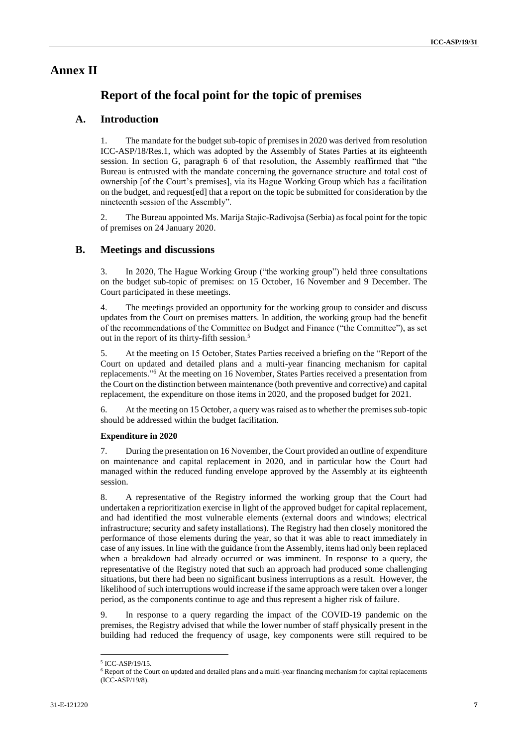## **Annex II**

# **Report of the focal point for the topic of premises**

## **A. Introduction**

1. The mandate for the budget sub-topic of premises in 2020 was derived from resolution ICC-ASP/18/Res.1, which was adopted by the Assembly of States Parties at its eighteenth session. In section G, paragraph 6 of that resolution, the Assembly reaffirmed that "the Bureau is entrusted with the mandate concerning the governance structure and total cost of ownership [of the Court's premises], via its Hague Working Group which has a facilitation on the budget, and request[ed] that a report on the topic be submitted for consideration by the nineteenth session of the Assembly".

2. The Bureau appointed Ms. Marija Stajic-Radivojsa (Serbia) as focal point for the topic of premises on 24 January 2020.

## **B. Meetings and discussions**

3. In 2020, The Hague Working Group ("the working group") held three consultations on the budget sub-topic of premises: on 15 October, 16 November and 9 December. The Court participated in these meetings.

4. The meetings provided an opportunity for the working group to consider and discuss updates from the Court on premises matters. In addition, the working group had the benefit of the recommendations of the Committee on Budget and Finance ("the Committee"), as set out in the report of its thirty-fifth session.<sup>5</sup>

5. At the meeting on 15 October, States Parties received a briefing on the "Report of the Court on updated and detailed plans and a multi-year financing mechanism for capital replacements." <sup>6</sup> At the meeting on 16 November, States Parties received a presentation from the Court on the distinction between maintenance (both preventive and corrective) and capital replacement, the expenditure on those items in 2020, and the proposed budget for 2021.

6. At the meeting on 15 October, a query was raised as to whether the premises sub-topic should be addressed within the budget facilitation.

## **Expenditure in 2020**

7. During the presentation on 16 November, the Court provided an outline of expenditure on maintenance and capital replacement in 2020, and in particular how the Court had managed within the reduced funding envelope approved by the Assembly at its eighteenth session.

8. A representative of the Registry informed the working group that the Court had undertaken a reprioritization exercise in light of the approved budget for capital replacement, and had identified the most vulnerable elements (external doors and windows; electrical infrastructure; security and safety installations). The Registry had then closely monitored the performance of those elements during the year, so that it was able to react immediately in case of any issues. In line with the guidance from the Assembly, items had only been replaced when a breakdown had already occurred or was imminent. In response to a query, the representative of the Registry noted that such an approach had produced some challenging situations, but there had been no significant business interruptions as a result. However, the likelihood of such interruptions would increase if the same approach were taken over a longer period, as the components continue to age and thus represent a higher risk of failure.

In response to a query regarding the impact of the COVID-19 pandemic on the premises, the Registry advised that while the lower number of staff physically present in the building had reduced the frequency of usage, key components were still required to be

<sup>5</sup> ICC-ASP/19/15.

<sup>6</sup> Report of the Court on updated and detailed plans and a multi-year financing mechanism for capital replacements (ICC-ASP/19/8).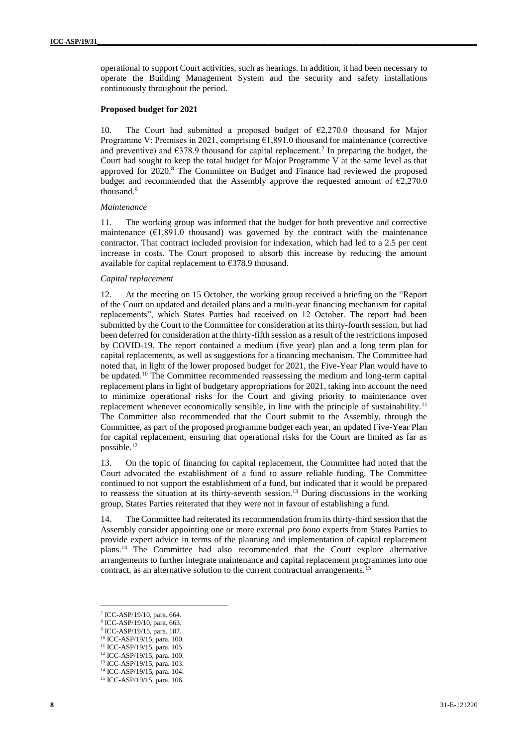operational to support Court activities, such as hearings. In addition, it had been necessary to operate the Building Management System and the security and safety installations continuously throughout the period.

#### **Proposed budget for 2021**

10. The Court had submitted a proposed budget of  $\epsilon$ 2,270.0 thousand for Major Programme V: Premises in 2021, comprising  $\epsilon$ 1,891.0 thousand for maintenance (corrective and preventive) and  $\epsilon$ 378.9 thousand for capital replacement.<sup>7</sup> In preparing the budget, the Court had sought to keep the total budget for Major Programme  $\overline{V}$  at the same level as that approved for 2020.<sup>8</sup> The Committee on Budget and Finance had reviewed the proposed budget and recommended that the Assembly approve the requested amount of  $E$ 2,270.0 thousand.<sup>9</sup>

#### *Maintenance*

11. The working group was informed that the budget for both preventive and corrective maintenance  $(E1,891.0)$  thousand) was governed by the contract with the maintenance contractor. That contract included provision for indexation, which had led to a 2.5 per cent increase in costs. The Court proposed to absorb this increase by reducing the amount available for capital replacement to  $\epsilon$ 378.9 thousand.

#### *Capital replacement*

12. At the meeting on 15 October, the working group received a briefing on the "Report of the Court on updated and detailed plans and a multi-year financing mechanism for capital replacements", which States Parties had received on 12 October. The report had been submitted by the Court to the Committee for consideration at its thirty-fourth session, but had been deferred for consideration at the thirty-fifth session as a result of the restrictions imposed by COVID-19. The report contained a medium (five year) plan and a long term plan for capital replacements, as well as suggestions for a financing mechanism. The Committee had noted that, in light of the lower proposed budget for 2021, the Five-Year Plan would have to be updated.<sup>10</sup> The Committee recommended reassessing the medium and long-term capital replacement plans in light of budgetary appropriations for 2021, taking into account the need to minimize operational risks for the Court and giving priority to maintenance over replacement whenever economically sensible, in line with the principle of sustainability.<sup>11</sup> The Committee also recommended that the Court submit to the Assembly, through the Committee, as part of the proposed programme budget each year, an updated Five-Year Plan for capital replacement, ensuring that operational risks for the Court are limited as far as possible.<sup>12</sup>

13. On the topic of financing for capital replacement, the Committee had noted that the Court advocated the establishment of a fund to assure reliable funding. The Committee continued to not support the establishment of a fund, but indicated that it would be prepared to reassess the situation at its thirty-seventh session.<sup>13</sup> During discussions in the working group, States Parties reiterated that they were not in favour of establishing a fund.

14. The Committee had reiterated its recommendation from its thirty-third session that the Assembly consider appointing one or more external *pro bono* experts from States Parties to provide expert advice in terms of the planning and implementation of capital replacement plans.<sup>14</sup> The Committee had also recommended that the Court explore alternative arrangements to further integrate maintenance and capital replacement programmes into one contract, as an alternative solution to the current contractual arrangements.<sup>15</sup>

<sup>7</sup> ICC-ASP/19/10, para. 664.

<sup>8</sup> ICC-ASP/19/10, para. 663.

<sup>9</sup> ICC-ASP/19/15, para. 107.

<sup>10</sup> ICC-ASP/19/15, para. 100.

<sup>&</sup>lt;sup>11</sup> ICC-ASP/19/15, para. 105.

<sup>12</sup> ICC-ASP/19/15, para. 100.

<sup>13</sup> ICC-ASP/19/15, para. 103.

<sup>14</sup> ICC-ASP/19/15, para. 104. <sup>15</sup> ICC-ASP/19/15, para. 106.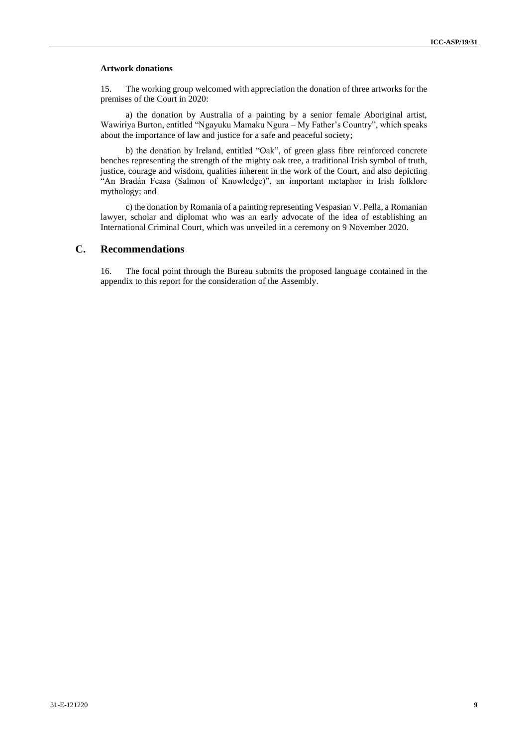## **Artwork donations**

15. The working group welcomed with appreciation the donation of three artworks for the premises of the Court in 2020:

a) the donation by Australia of a painting by a senior female Aboriginal artist, Wawiriya Burton, entitled "Ngayuku Mamaku Ngura – My Father's Country", which speaks about the importance of law and justice for a safe and peaceful society;

b) the donation by Ireland, entitled "Oak", of green glass fibre reinforced concrete benches representing the strength of the mighty oak tree, a traditional Irish symbol of truth, justice, courage and wisdom, qualities inherent in the work of the Court, and also depicting "An Bradán Feasa (Salmon of Knowledge)", an important metaphor in Irish folklore mythology; and

c) the donation by Romania of a painting representing Vespasian V. Pella, a Romanian lawyer, scholar and diplomat who was an early advocate of the idea of establishing an International Criminal Court, which was unveiled in a ceremony on 9 November 2020.

## **C. Recommendations**

16. The focal point through the Bureau submits the proposed language contained in the appendix to this report for the consideration of the Assembly.